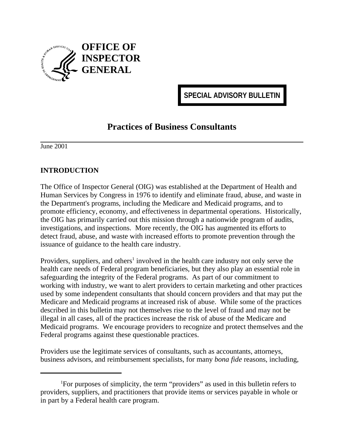

**SPECIAL ADVISORY BULLETIN**

## **Practices of Business Consultants**

June 2001

## **INTRODUCTION**

The Office of Inspector General (OIG) was established at the Department of Health and Human Services by Congress in 1976 to identify and eliminate fraud, abuse, and waste in the Department's programs, including the Medicare and Medicaid programs, and to promote efficiency, economy, and effectiveness in departmental operations. Historically, the OIG has primarily carried out this mission through a nationwide program of audits, investigations, and inspections. More recently, the OIG has augmented its efforts to detect fraud, abuse, and waste with increased efforts to promote prevention through the issuance of guidance to the health care industry.

Providers, suppliers, and others<sup>1</sup> involved in the health care industry not only serve the health care needs of Federal program beneficiaries, but they also play an essential role in safeguarding the integrity of the Federal programs. As part of our commitment to working with industry, we want to alert providers to certain marketing and other practices used by some independent consultants that should concern providers and that may put the Medicare and Medicaid programs at increased risk of abuse. While some of the practices described in this bulletin may not themselves rise to the level of fraud and may not be illegal in all cases, all of the practices increase the risk of abuse of the Medicare and Medicaid programs. We encourage providers to recognize and protect themselves and the Federal programs against these questionable practices.

Providers use the legitimate services of consultants, such as accountants, attorneys, business advisors, and reimbursement specialists, for many *bona fide* reasons, including,

<sup>1</sup> For purposes of simplicity, the term "providers" as used in this bulletin refers to providers, suppliers, and practitioners that provide items or services payable in whole or in part by a Federal health care program.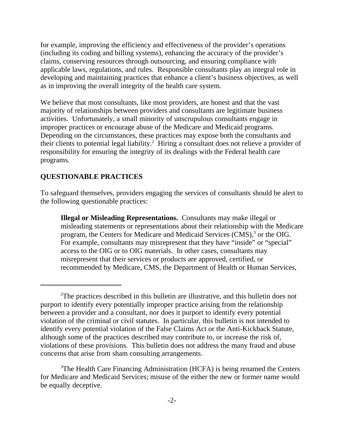for example, improving the efficiency and effectiveness of the provider's operations (including its coding and billing systems), enhancing the accuracy of the provider's claims, conserving resources through outsourcing, and ensuring compliance with applicable laws, regulations, and rules. Responsible consultants play an integral role in developing and maintaining practices that enhance a client's business objectives, as well as in improving the overall integrity of the health care system.

We believe that most consultants, like most providers, are honest and that the vast majority of relationships between providers and consultants are legitimate business activities. Unfortunately, a small minority of unscrupulous consultants engage in improper practices or encourage abuse of the Medicare and Medicaid programs. Depending on the circumstances, these practices may expose both the consultants and their clients to potential legal liability.2 Hiring a consultant does not relieve a provider of responsibility for ensuring the integrity of its dealings with the Federal health care programs.

## **QUESTIONABLE PRACTICES**

To safeguard themselves, providers engaging the services of consultants should be alert to the following questionable practices:

**Illegal or Misleading Representations.** Consultants may make illegal or misleading statements or representations about their relationship with the Medicare program, the Centers for Medicare and Medicaid Services  $(CMS)$ ,  $\delta$  or the OIG. For example, consultants may misrepresent that they have "inside" or "special" access to the OIG or to OIG materials. In other cases, consultants may misrepresent that their services or products are approved, certified, or recommended by Medicare, CMS, the Department of Health or Human Services,

<sup>&</sup>lt;sup>2</sup>The practices described in this bulletin are illustrative, and this bulletin does not purport to identify every potentially improper practice arising from the relationship between a provider and a consultant, nor does it purport to identify every potential violation of the criminal or civil statutes. In particular, this bulletin is not intended to identify every potential violation of the False Claims Act or the Anti-Kickback Statute, although some of the practices described may contribute to, or increase the risk of, violations of these provisions. This bulletin does not address the many fraud and abuse concerns that arise from sham consulting arrangements.

<sup>&</sup>lt;sup>3</sup>The Health Care Financing Administration (HCFA) is being renamed the Centers for Medicare and Medicaid Services; misuse of the either the new or former name would be equally deceptive.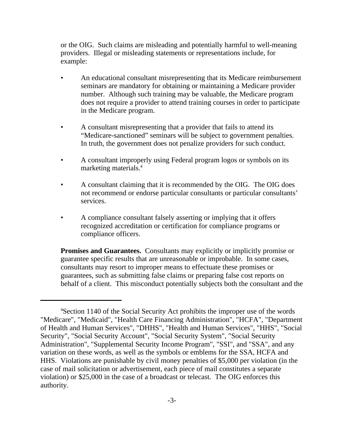or the OIG. Such claims are misleading and potentially harmful to well-meaning providers. Illegal or misleading statements or representations include, for example:

- An educational consultant misrepresenting that its Medicare reimbursement seminars are mandatory for obtaining or maintaining a Medicare provider number. Although such training may be valuable, the Medicare program does not require a provider to attend training courses in order to participate in the Medicare program.
- A consultant misrepresenting that a provider that fails to attend its "Medicare-sanctioned" seminars will be subject to government penalties. In truth, the government does not penalize providers for such conduct.
- A consultant improperly using Federal program logos or symbols on its marketing materials.<sup>4</sup>
- A consultant claiming that it is recommended by the OIG. The OIG does not recommend or endorse particular consultants or particular consultants' services.
- A compliance consultant falsely asserting or implying that it offers recognized accreditation or certification for compliance programs or compliance officers.

**Promises and Guarantees.** Consultants may explicitly or implicitly promise or guarantee specific results that are unreasonable or improbable. In some cases, consultants may resort to improper means to effectuate these promises or guarantees, such as submitting false claims or preparing false cost reports on behalf of a client. This misconduct potentially subjects both the consultant and the

<sup>4</sup> Section 1140 of the Social Security Act prohibits the improper use of the words "Medicare", "Medicaid", "Health Care Financing Administration", "HCFA", "Department of Health and Human Services", "DHHS", "Health and Human Services", "HHS", "Social Security", "Social Security Account", "Social Security System", "Social Security Administration", "Supplemental Security Income Program", "SSI", and "SSA", and any variation on these words, as well as the symbols or emblems for the SSA, HCFA and HHS. Violations are punishable by civil money penalties of \$5,000 per violation (in the case of mail solicitation or advertisement, each piece of mail constitutes a separate violation) or \$25,000 in the case of a broadcast or telecast. The OIG enforces this authority.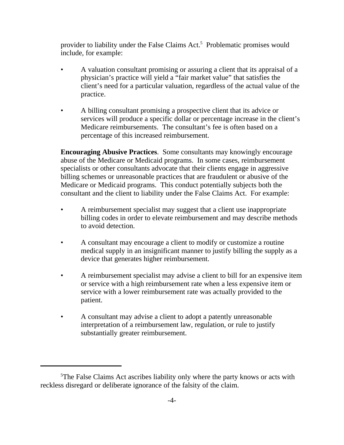provider to liability under the False Claims Act.<sup>5</sup> Problematic promises would include, for example:

- A valuation consultant promising or assuring a client that its appraisal of a physician's practice will yield a "fair market value" that satisfies the client's need for a particular valuation, regardless of the actual value of the practice.
- A billing consultant promising a prospective client that its advice or services will produce a specific dollar or percentage increase in the client's Medicare reimbursements. The consultant's fee is often based on a percentage of this increased reimbursement.

**Encouraging Abusive Practices**. Some consultants may knowingly encourage abuse of the Medicare or Medicaid programs. In some cases, reimbursement specialists or other consultants advocate that their clients engage in aggressive billing schemes or unreasonable practices that are fraudulent or abusive of the Medicare or Medicaid programs. This conduct potentially subjects both the consultant and the client to liability under the False Claims Act. For example:

- A reimbursement specialist may suggest that a client use inappropriate billing codes in order to elevate reimbursement and may describe methods to avoid detection.
- A consultant may encourage a client to modify or customize a routine medical supply in an insignificant manner to justify billing the supply as a device that generates higher reimbursement.
- A reimbursement specialist may advise a client to bill for an expensive item or service with a high reimbursement rate when a less expensive item or service with a lower reimbursement rate was actually provided to the patient.
- A consultant may advise a client to adopt a patently unreasonable interpretation of a reimbursement law, regulation, or rule to justify substantially greater reimbursement.

<sup>&</sup>lt;sup>5</sup>The False Claims Act ascribes liability only where the party knows or acts with reckless disregard or deliberate ignorance of the falsity of the claim.